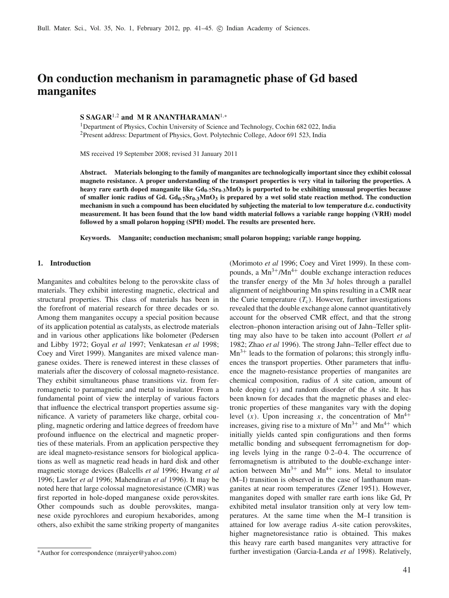# **On conduction mechanism in paramagnetic phase of Gd based manganites**

## **S SAGAR**1,<sup>2</sup> **and M R ANANTHARAMAN**1,<sup>∗</sup>

<sup>1</sup>Department of Physics, Cochin University of Science and Technology, Cochin 682 022, India <sup>2</sup>Present address: Department of Physics, Govt. Polytechnic College, Adoor 691 523, India

MS received 19 September 2008; revised 31 January 2011

**Abstract. Materials belonging to the family of manganites are technologically important since they exhibit colossal magneto resistance. A proper understanding of the transport properties is very vital in tailoring the properties. A** heavy rare earth doped manganite like  $Gd_{0.7}Sr_{0.3}MnO_3$  is purported to be exhibiting unusual properties because **of smaller ionic radius of Gd. Gd0·7Sr0·3MnO3 is prepared by a wet solid state reaction method. The conduction mechanism in such a compound has been elucidated by subjecting the material to low temperature d.c. conductivity measurement. It has been found that the low band width material follows a variable range hopping (VRH) model followed by a small polaron hopping (SPH) model. The results are presented here.**

**Keywords. Manganite; conduction mechanism; small polaron hopping; variable range hopping.**

#### **1. Introduction**

Manganites and cobaltites belong to the perovskite class of materials. They exhibit interesting magnetic, electrical and structural properties. This class of materials has been in the forefront of material research for three decades or so. Among them manganites occupy a special position because of its application potential as catalysts, as electrode materials and in various other applications like bolometer (Pedersen and Libby 1972; Goyal *et al* 1997; Venkatesan *et al* 1998; Coey and Viret 1999). Manganites are mixed valence manganese oxides. There is renewed interest in these classes of materials after the discovery of colossal magneto-resistance. They exhibit simultaneous phase transitions viz. from ferromagnetic to paramagnetic and metal to insulator. From a fundamental point of view the interplay of various factors that influence the electrical transport properties assume significance. A variety of parameters like charge, orbital coupling, magnetic ordering and lattice degrees of freedom have profound influence on the electrical and magnetic properties of these materials. From an application perspective they are ideal magneto-resistance sensors for biological applications as well as magnetic read heads in hard disk and other magnetic storage devices (Balcells *et al* 1996; Hwang *et al* 1996; Lawler *et al* 1996; Mahendiran *et al* 1996). It may be noted here that large colossal magnetoresistance (CMR) was first reported in hole-doped manganese oxide perovskites. Other compounds such as double perovskites, manganese oxide pyrochlores and europium hexaborides, among others, also exhibit the same striking property of manganites

(Morimoto *et al* 1996; Coey and Viret 1999). In these compounds, a  $Mn^{3+}/Mn^{4+}$  double exchange interaction reduces the transfer energy of the Mn 3*d* holes through a parallel alignment of neighbouring Mn spins resulting in a CMR near the Curie temperature  $(T_c)$ . However, further investigations revealed that the double exchange alone cannot quantitatively account for the observed CMR effect, and that the strong electron–phonon interaction arising out of Jahn–Teller splitting may also have to be taken into account (Pollert *et al* 1982; Zhao *et al* 1996). The strong Jahn–Teller effect due to  $Mn^{3+}$  leads to the formation of polarons; this strongly influences the transport properties. Other parameters that influence the magneto-resistance properties of manganites are chemical composition, radius of *A* site cation, amount of hole doping (*x*) and random disorder of the *A* site. It has been known for decades that the magnetic phases and electronic properties of these manganites vary with the doping level  $(x)$ . Upon increasing *x*, the concentration of Mn<sup>4+</sup> increases, giving rise to a mixture of  $Mn^{3+}$  and  $Mn^{4+}$  which initially yields canted spin configurations and then forms metallic bonding and subsequent ferromagnetism for doping levels lying in the range 0·2–0·4. The occurrence of ferromagnetism is attributed to the double-exchange interaction between  $Mn^{3+}$  and  $Mn^{4+}$  ions. Metal to insulator (M–I) transition is observed in the case of lanthanum manganites at near room temperatures (Zener 1951). However, manganites doped with smaller rare earth ions like Gd, Pr exhibited metal insulator transition only at very low temperatures. At the same time when the M–I transition is attained for low average radius *A*-site cation perovskites, higher magnetoresistance ratio is obtained. This makes this heavy rare earth based manganites very attractive for further investigation (Garcia-Landa *et al* 1998). Relatively,

<sup>∗</sup>Author for correspondence (mraiyer@yahoo.com)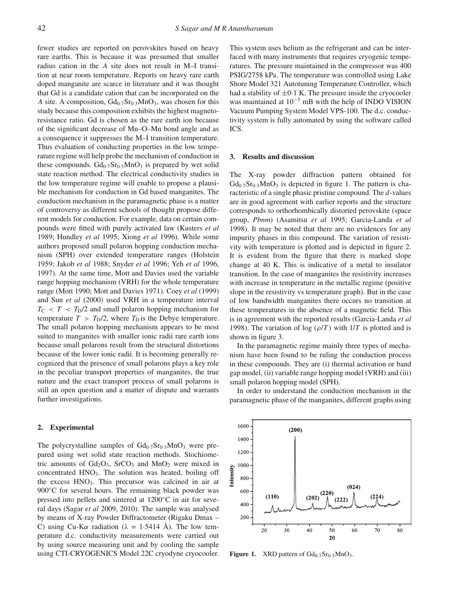fewer studies are reported on perovskites based on heavy rare earths. This is because it was presumed that smaller radius cation in the *A* site does not result in M–I transition at near room temperature. Reports on heavy rare earth doped manganite are scarce in literature and it was thought that Gd is a candidate cation that can be incorporated on the *A* site. A composition,  $Gd_{0.7}Sr_{0.3}MnO_3$ , was chosen for this study because this composition exhibits the highest magnetoresistance ratio. Gd is chosen as the rare earth ion because of the significant decrease of Mn–O–Mn bond angle and as a consequence it suppresses the M–I transition temperature. Thus evaluation of conducting properties in the low temperature regime will help probe the mechanism of conduction in these compounds.  $Gd_{0.7}Sr_{0.3}MnO_3$  is prepared by wet solid state reaction method. The electrical conductivity studies in the low temperature regime will enable to propose a plausible mechanism for conduction in Gd based manganites. The conduction mechanism in the paramagnetic phase is a matter of controversy as different schools of thought propose different models for conduction. For example, data on certain compounds were fitted with purely activated law (Kusters *et al* 1989; Hundley *et al* 1995; Xiong *et al* 1996). While some authors proposed small polaron hopping conduction mechanism (SPH) over extended temperature ranges (Holstein 1959; Jakob *et al* 1988; Snyder *et al* 1996; Yeh *et al* 1996, 1997). At the same time, Mott and Davies used the variable range hopping mechanism (VRH) for the whole temperature range (Mott 1990; Mott and Davies 1971). Coey *et al* (1999) and Sun *et al* (2000) used VRH in a temperature interval  $T_{\rm C}$  <  $T$  <  $T_{\rm D}/2$  and small polaron hopping mechanism for temperature  $T > T_D/2$ , where  $T_D$  is the Debye temperature. The small polaron hopping mechanism appears to be most suited to manganites with smaller ionic radii rare earth ions because small polarons result from the structural distortions because of the lower ionic radii. It is becoming generally recognized that the presence of small polarons plays a key role in the peculiar transport properties of manganites, the true nature and the exact transport process of small polarons is still an open question and a matter of dispute and warrants further investigations.

## **2. Experimental**

The polycrystalline samples of  $Gd_{0.7}Sr_{0.3}MnO_3$  were prepared using wet solid state reaction methods. Stochiometric amounts of  $Gd_2O_3$ ,  $SrCO_3$  and  $MnO_2$  were mixed in concentrated  $HNO<sub>3</sub>$ . The solution was heated, boiling off the excess  $HNO<sub>3</sub>$ . This precursor was calcined in air at 900℃ for several hours. The remaining black powder was pressed into pellets and sintered at 1200◦C in air for several days (Sagar *et al* 2009, 2010). The sample was analysed by means of X-ray Powder Diffractometer (Rigaku Dmax – C) using Cu-K $\alpha$  radiation ( $\lambda = 1.5414$  Å). The low temperature d.c. conductivity measurements were carried out by using source measuring unit and by cooling the sample using CTI-CRYOGENICS Model 22C cryodyne cryocooler.

This system uses helium as the refrigerant and can be interfaced with many instruments that requires cryogenic temperatures. The pressure maintained in the compressor was 400 PSIG/2758 kPa. The temperature was controlled using Lake Shore Model 321 Autotuning Temperature Controller, which had a stability of  $\pm 0.1$  K. The pressure inside the cryocooler was maintained at  $10^{-5}$  mB with the help of INDO VISION Vacuum Pumping System Model VPS-100. The d.c. conductivity system is fully automated by using the software called ICS.

### **3. Results and discussion**

The X-ray powder diffraction pattern obtained for  $Gd_{0.7}Sr_{0.3}MnO_3$  is depicted in figure 1. The pattern is characteristic of a single phasic pristine compound. The *d*-values are in good agreement with earlier reports and the structure corresponds to orthorhombically distorted perovskite (space group, *Pbnm*) (Asamitsu *et al* 1995; Garcia-Landa *et al* 1998). It may be noted that there are no evidences for any impurity phases in this compound. The variation of resistivity with temperature is plotted and is depicted in figure 2. It is evident from the figure that there is marked slope change at 40 K. This is indicative of a metal to insulator transition. In the case of manganites the resistivity increases with increase in temperature in the metallic regime (positive slope in the resistivity vs temperature graph). But in the case of low bandwidth manganites there occurs no transition at these temperatures in the absence of a magnetic field. This is in agreement with the reported results (Garcia-Landa *et al* 1998). The variation of log  $(\rho/T)$  with  $1/T$  is plotted and is shown in figure 3.

In the paramagnetic regime mainly three types of mechanism have been found to be ruling the conduction process in these compounds. They are (i) thermal activation or band gap model, (ii) variable range hopping model (VRH) and (iii) small polaron hopping model (SPH).

In order to understand the conduction mechanism in the paramagnetic phase of the manganites, different graphs using



**Figure 1.** XRD pattern of  $Gd_{0.7}Sr_{0.3}MnO_3$ .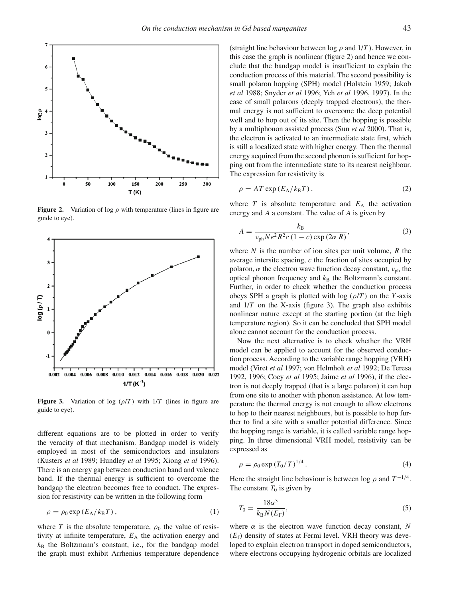

**Figure 2.** Variation of log  $\rho$  with temperature (lines in figure are guide to eye).



**Figure 3.** Variation of log  $(\rho/T)$  with  $1/T$  (lines in figure are guide to eye).

different equations are to be plotted in order to verify the veracity of that mechanism. Bandgap model is widely employed in most of the semiconductors and insulators (Kusters *et al* 1989; Hundley *et al* 1995; Xiong *et al* 1996). There is an energy gap between conduction band and valence band. If the thermal energy is sufficient to overcome the bandgap the electron becomes free to conduct. The expression for resistivity can be written in the following form

$$
\rho = \rho_0 \exp\left(E_A / k_B T\right),\tag{1}
$$

where *T* is the absolute temperature,  $\rho_0$  the value of resistivity at infinite temperature,  $E_A$  the activation energy and  $k_B$  the Boltzmann's constant, i.e., for the bandgap model the graph must exhibit Arrhenius temperature dependence

(straight line behaviour between log  $\rho$  and  $1/T$ ). However, in this case the graph is nonlinear (figure 2) and hence we conclude that the bandgap model is insufficient to explain the conduction process of this material. The second possibility is small polaron hopping (SPH) model (Holstein 1959; Jakob *et al* 1988; Snyder *et al* 1996; Yeh *et al* 1996, 1997). In the case of small polarons (deeply trapped electrons), the thermal energy is not sufficient to overcome the deep potential well and to hop out of its site. Then the hopping is possible by a multiphonon assisted process (Sun *et al* 2000). That is, the electron is activated to an intermediate state first, which is still a localized state with higher energy. Then the thermal energy acquired from the second phonon is sufficient for hopping out from the intermediate state to its nearest neighbour. The expression for resistivity is

$$
\rho = AT \exp\left(E_A/k_B T\right),\tag{2}
$$

where  $T$  is absolute temperature and  $E_A$  the activation energy and *A* a constant. The value of *A* is given by

$$
A = \frac{k_{\rm B}}{v_{\rm ph} N e^2 R^2 c (1 - c) \exp(2\alpha R)},
$$
\n(3)

where *N* is the number of ion sites per unit volume, *R* the average intersite spacing, *c* the fraction of sites occupied by polaron,  $\alpha$  the electron wave function decay constant,  $v_{\rm ph}$  the optical phonon frequency and  $k<sub>B</sub>$  the Boltzmann's constant. Further, in order to check whether the conduction process obeys SPH a graph is plotted with  $log(\rho/T)$  on the *Y*-axis and 1/*T* on the X-axis (figure 3). The graph also exhibits nonlinear nature except at the starting portion (at the high temperature region). So it can be concluded that SPH model alone cannot account for the conduction process.

Now the next alternative is to check whether the VRH model can be applied to account for the observed conduction process. According to the variable range hopping (VRH) model (Viret *et al* 1997; von Helmholt *et al* 1992; De Teresa 1992, 1996; Coey *et al* 1995; Jaime *et al* 1996), if the electron is not deeply trapped (that is a large polaron) it can hop from one site to another with phonon assistance. At low temperature the thermal energy is not enough to allow electrons to hop to their nearest neighbours, but is possible to hop further to find a site with a smaller potential difference. Since the hopping range is variable, it is called variable range hopping. In three dimensional VRH model, resistivity can be expressed as

$$
\rho = \rho_0 \exp (T_0/T)^{1/4} \,. \tag{4}
$$

Here the straight line behaviour is between log  $\rho$  and  $T^{-1/4}$ . The constant  $T_0$  is given by

$$
T_0 = \frac{18\alpha^3}{k_B N(E_F)},\tag{5}
$$

where  $\alpha$  is the electron wave function decay constant, N  $(E<sub>f</sub>)$  density of states at Fermi level. VRH theory was developed to explain electron transport in doped semiconductors, where electrons occupying hydrogenic orbitals are localized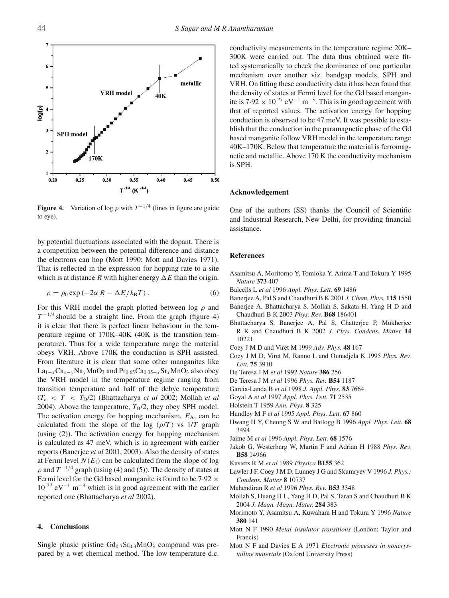

**Figure 4.** Variation of log  $\rho$  with  $T^{-1/4}$  (lines in figure are guide to eye).

by potential fluctuations associated with the dopant. There is a competition between the potential difference and distance the electrons can hop (Mott 1990; Mott and Davies 1971). That is reflected in the expression for hopping rate to a site which is at distance *R* with higher energy  $\Delta E$  than the origin.

$$
\rho = \rho_0 \exp(-2\alpha \, R - \Delta E / k_B T). \tag{6}
$$

For this VRH model the graph plotted between log  $\rho$  and  $T^{-1/4}$  should be a straight line. From the graph (figure 4) it is clear that there is perfect linear behaviour in the temperature regime of 170K–40K (40K is the transition temperature). Thus for a wide temperature range the material obeys VRH. Above 170K the conduction is SPH assisted. From literature it is clear that some other manganites like La<sub>1−*x*</sub>Ca<sub>*x*−*y*</sub>Na<sub>*y*</sub>MnO<sub>3</sub> and Pr<sub>0</sub>·65</sub>Ca<sub>0</sub>·35−*x*Sr<sub>*x*</sub>MnO<sub>3</sub> also obey the VRH model in the temperature regime ranging from transition temperature and half of the debye temperature  $(T_c < T < T_D/2)$  (Bhattacharya *et al* 2002; Mollah *et al* 2004). Above the temperature,  $T_D/2$ , they obey SPH model. The activation energy for hopping mechanism, *E*A, can be calculated from the slope of the log  $(\rho/T)$  vs  $1/T$  graph (using (2)). The activation energy for hopping mechanism is calculated as 47 meV, which is in agreement with earlier reports (Banerjee *et al* 2001, 2003). Also the density of states at Fermi level  $N(E_f)$  can be calculated from the slope of log  $\rho$  and  $T^{-1/4}$  graph (using (4) and (5)). The density of states at Fermi level for the Gd based manganite is found to be  $7.92 \times$  $10^{27}$  eV<sup>-1</sup> m<sup>-3</sup> which is in good agreement with the earlier reported one (Bhattacharya *et al* 2002).

#### **4. Conclusions**

Single phasic pristine  $Gd_{0.7}Sr_{0.3}MnO_3$  compound was prepared by a wet chemical method. The low temperature d.c. conductivity measurements in the temperature regime 20K– 300K were carried out. The data thus obtained were fitted systematically to check the dominance of one particular mechanism over another viz. bandgap models, SPH and VRH. On fitting these conductivity data it has been found that the density of states at Fermi level for the Gd based manganite is  $7.92 \times 10^{27}$  eV<sup>-1</sup> m<sup>-3</sup>. This is in good agreement with that of reported values. The activation energy for hopping conduction is observed to be 47 meV. It was possible to establish that the conduction in the paramagnetic phase of the Gd based manganite follow VRH model in the temperature range 40K–170K. Below that temperature the material is ferromagnetic and metallic. Above 170 K the conductivity mechanism is SPH.

#### **Acknowledgement**

One of the authors (SS) thanks the Council of Scientific and Industrial Research, New Delhi, for providing financial assistance.

#### **References**

- Asamitsu A, Moritorno Y, Tomioka Y, Arima T and Tokura Y 1995 *Nature* **373** 407
- Balcells L *et al* 1996 *Appl. Phys. Lett.* **69** 1486
- Banerjee A, Pal S and Chaudhuri B K 2001 *J. Chem. Phys.* **115** 1550
- Banerjee A, Bhattacharya S, Mollah S, Sakata H, Yang H D and Chaudhuri B K 2003 *Phys. Rev.* **B68** 186401
- Bhattacharya S, Banerjee A, Pal S, Chatterjee P, Mukherjee R K and Chaudhuri B K 2002 *J. Phys. Condens. Matter* **14** 10221
- Coey J M D and Viret M 1999 *Adv. Phys.* **48** 167
- Coey J M D, Viret M, Ranno L and Ounadjela K 1995 *Phys. Rev. Lett.* **75** 3910
- De Teresa J M *et al* 1992 *Nature* **386** 256
- De Teresa J M *et al* 1996 *Phys. Rev.* **B54** 1187
- Garcia-Landa B *et al* 1998 *J. Appl. Phys.* **83** 7664
- Goyal A *et al* 1997 *Appl. Phys. Lett.* **71** 2535
- Holstein T 1959 *Ann. Phys.* **8** 325
- Hundley M F *et al* 1995 *Appl. Phys. Lett.* **67** 860
- Hwang H Y, Cheong S W and Batlogg B 1996 *Appl. Phys. Lett.* **68** 3494
- Jaime M *et al* 1996 *Appl. Phys. Lett.* **68** 1576
- Jakob G, Westerburg W, Martin F and Adrian H 1988 *Phys. Rev.* **B58** 14966
- Kusters R M *et al* 1989 *Physica* **B155** 362
- Lawler J F, Coey J M D, Lunney J G and Skumryev V 1996 *J. Phys.: Condens. Matter* **8** 10737
- Mahendiran R *et al* 1996 *Phys. Rev.* **B53** 3348
- Mollah S, Huang H L, Yang H D, Pal S, Taran S and Chaudhuri B K 2004 *J. Magn. Magn. Mater.* **284** 383
- Morimoto Y, Asamitsu A, Kuwahara H and Tokura Y 1996 *Nature* **380** 141
- Mott N F 1990 *Metal–insulator transitions* (London: Taylor and Francis)
- Mott N F and Davies E A 1971 *Electronic processes in noncrystalline materials* (Oxford University Press)